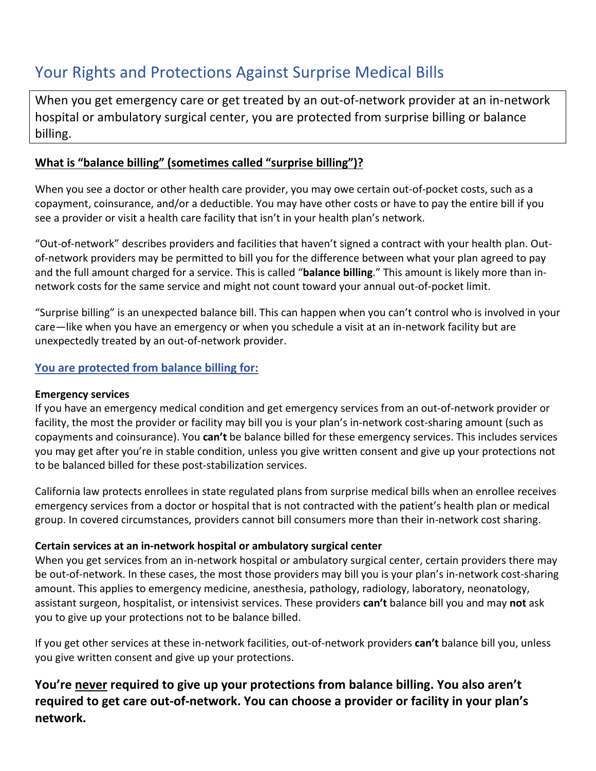# Your Rights and Protections Against Surprise Medical Bills

When you get emergency care or get treated by an out-of-network provider at an in-network hospital or ambulatory surgical center, you are protected from surprise billing or balance billing.

### **What is "balance billing" (sometimes called "surprise billing")?**

When you see a doctor or other health care provider, you may owe certain out-of-pocket costs, such as a copayment, coinsurance, and/or a deductible. You may have other costs or have to pay the entire bill if you see a provider or visit a health care facility that isn't in your health plan's network.

"Out-of-network" describes providers and facilities that haven't signed a contract with your health plan. Outof-network providers may be permitted to bill you for the difference between what your plan agreed to pay and the full amount charged for a service. This is called "**balance billing**." This amount is likely more than innetwork costs for the same service and might not count toward your annual out-of-pocket limit.

"Surprise billing" is an unexpected balance bill. This can happen when you can't control who is involved in your care—like when you have an emergency or when you schedule a visit at an in-network facility but are unexpectedly treated by an out-of-network provider.

#### **You are protected from balance billing for:**

#### **Emergency services**

If you have an emergency medical condition and get emergency services from an out-of-network provider or facility, the most the provider or facility may bill you is your plan's in-network cost-sharing amount (such as copayments and coinsurance). You **can't** be balance billed for these emergency services. This includes services you may get after you're in stable condition, unless you give written consent and give up your protections not to be balanced billed for these post-stabilization services.

California law protects enrollees in state regulated plans from surprise medical bills when an enrollee receives emergency services from a doctor or hospital that is not contracted with the patient's health plan or medical group. In covered circumstances, providers cannot bill consumers more than their in-network cost sharing.

#### **Certain services at an in-network hospital or ambulatory surgical center**

When you get services from an in-network hospital or ambulatory surgical center, certain providers there may be out-of-network. In these cases, the most those providers may bill you is your plan's in-network cost-sharing amount. This applies to emergency medicine, anesthesia, pathology, radiology, laboratory, neonatology, assistant surgeon, hospitalist, or intensivist services. These providers **can't** balance bill you and may **not** ask you to give up your protections not to be balance billed.

If you get other services at these in-network facilities, out-of-network providers **can't** balance bill you, unless you give written consent and give up your protections.

## **You're never required to give up your protections from balance billing. You also aren't required to get care out-of-network. You can choose a provider or facility in your plan's network.**